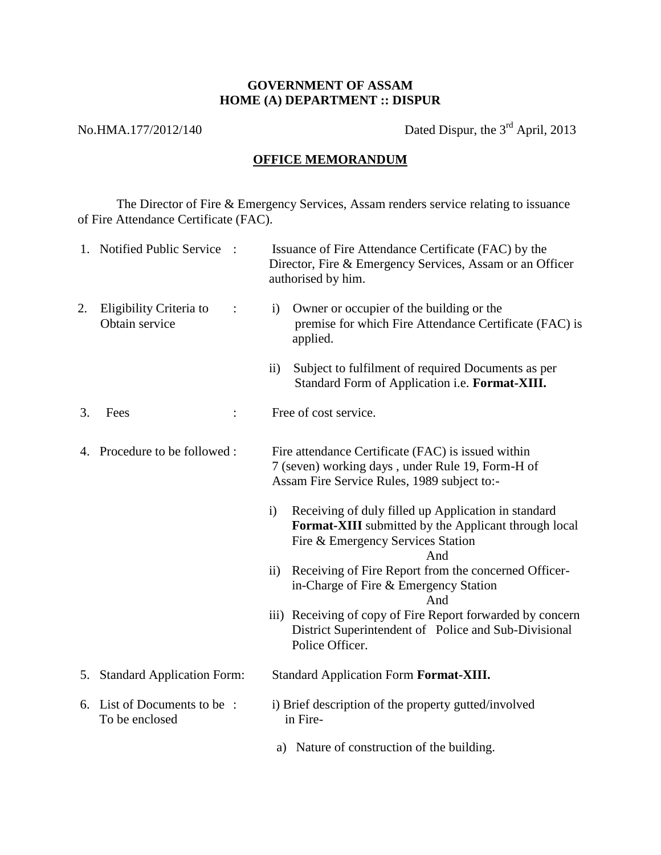## **GOVERNMENT OF ASSAM HOME (A) DEPARTMENT :: DISPUR**

No.HMA.177/2012/140 Dated Dispur, the 3<sup>rd</sup> April, 2013

## **OFFICE MEMORANDUM**

The Director of Fire & Emergency Services, Assam renders service relating to issuance of Fire Attendance Certificate (FAC).

|    | 1. Notified Public Service                                  | Issuance of Fire Attendance Certificate (FAC) by the<br>Director, Fire & Emergency Services, Assam or an Officer<br>authorised by him.                                                                                                                                                                                                                                                                                                                                                                                                                                                         |
|----|-------------------------------------------------------------|------------------------------------------------------------------------------------------------------------------------------------------------------------------------------------------------------------------------------------------------------------------------------------------------------------------------------------------------------------------------------------------------------------------------------------------------------------------------------------------------------------------------------------------------------------------------------------------------|
| 2. | Eligibility Criteria to<br>$\ddot{\cdot}$<br>Obtain service | Owner or occupier of the building or the<br>i)<br>premise for which Fire Attendance Certificate (FAC) is<br>applied.                                                                                                                                                                                                                                                                                                                                                                                                                                                                           |
|    |                                                             | Subject to fulfilment of required Documents as per<br>$\mathbf{ii}$<br>Standard Form of Application i.e. Format-XIII.                                                                                                                                                                                                                                                                                                                                                                                                                                                                          |
| 3. | Fees                                                        | Free of cost service.                                                                                                                                                                                                                                                                                                                                                                                                                                                                                                                                                                          |
|    | 4. Procedure to be followed :                               | Fire attendance Certificate (FAC) is issued within<br>7 (seven) working days, under Rule 19, Form-H of<br>Assam Fire Service Rules, 1989 subject to:-<br>Receiving of duly filled up Application in standard<br>$\mathbf{i}$<br>Format-XIII submitted by the Applicant through local<br>Fire & Emergency Services Station<br>And<br>Receiving of Fire Report from the concerned Officer-<br>$\rm ii)$<br>in-Charge of Fire & Emergency Station<br>And<br>iii) Receiving of copy of Fire Report forwarded by concern<br>District Superintendent of Police and Sub-Divisional<br>Police Officer. |
|    | 5. Standard Application Form:                               | Standard Application Form Format-XIII.                                                                                                                                                                                                                                                                                                                                                                                                                                                                                                                                                         |
|    | 6. List of Documents to be:<br>To be enclosed               | i) Brief description of the property gutted/involved<br>in Fire-<br>a) Nature of construction of the building.                                                                                                                                                                                                                                                                                                                                                                                                                                                                                 |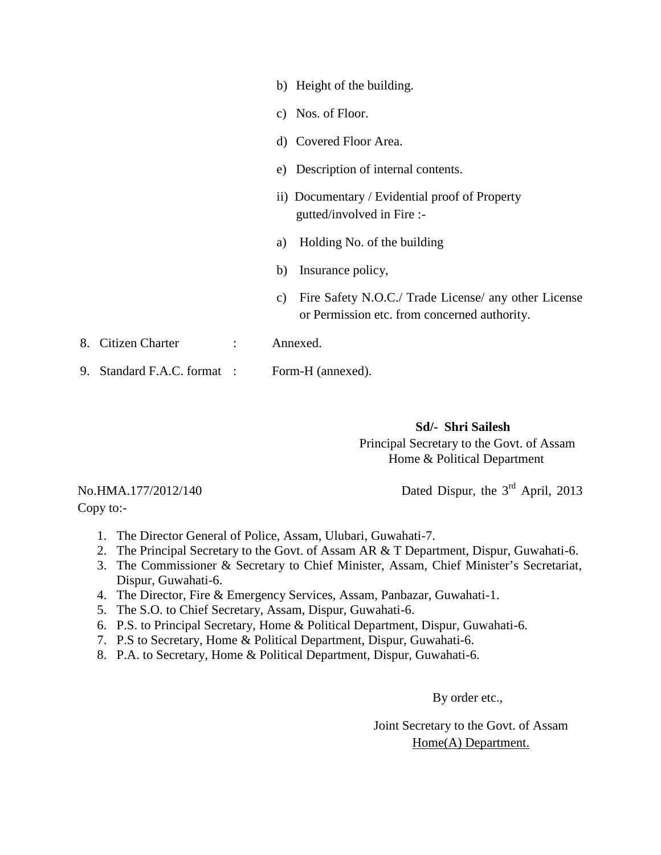|                             |               | b) Height of the building.                                                                                 |
|-----------------------------|---------------|------------------------------------------------------------------------------------------------------------|
|                             |               | c) Nos. of Floor.                                                                                          |
|                             |               | d) Covered Floor Area.                                                                                     |
|                             |               | e) Description of internal contents.                                                                       |
|                             |               | ii) Documentary / Evidential proof of Property<br>gutted/involved in Fire :-                               |
|                             |               | Holding No. of the building<br>a)                                                                          |
|                             |               | Insurance policy,<br>b)                                                                                    |
|                             |               | Fire Safety N.O.C./ Trade License/ any other License<br>C)<br>or Permission etc. from concerned authority. |
| 8. Citizen Charter          | $\sim$ $\sim$ | Annexed.                                                                                                   |
| 9. Standard F.A.C. format : |               | Form-H (annexed).                                                                                          |

# **Sd/- Shri Sailesh**

Principal Secretary to the Govt. of Assam Home & Political Department

No.HMA.177/2012/140 Dated Dispur, the 3<sup>rd</sup> April, 2013 Copy to:-

1. The Director General of Police, Assam, Ulubari, Guwahati-7.

- 2. The Principal Secretary to the Govt. of Assam AR & T Department, Dispur, Guwahati-6.
- 3. The Commissioner & Secretary to Chief Minister, Assam, Chief Minister's Secretariat, Dispur, Guwahati-6.
- 4. The Director, Fire & Emergency Services, Assam, Panbazar, Guwahati-1.
- 5. The S.O. to Chief Secretary, Assam, Dispur, Guwahati-6.
- 6. P.S. to Principal Secretary, Home & Political Department, Dispur, Guwahati-6.
- 7. P.S to Secretary, Home & Political Department, Dispur, Guwahati-6.
- 8. P.A. to Secretary, Home & Political Department, Dispur, Guwahati-6.

By order etc.,

Joint Secretary to the Govt. of Assam Home(A) Department.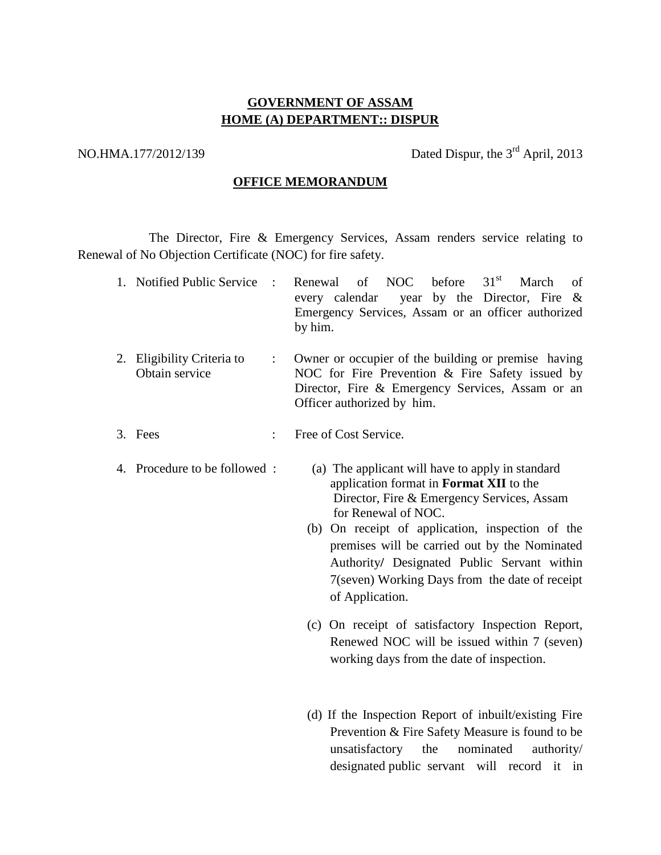# **GOVERNMENT OF ASSAM HOME (A) DEPARTMENT:: DISPUR**

NO.HMA.177/2012/139 Dated Dispur, the 3<sup>rd</sup> April, 2013

## **OFFICE MEMORANDUM**

The Director, Fire & Emergency Services, Assam renders service relating to Renewal of No Objection Certificate (NOC) for fire safety.

| 1. Notified Public Service                   |                | 31 <sup>st</sup><br><b>NOC</b><br>before<br>of<br>March<br>Renewal<br>of<br>every calendar<br>year by the Director, Fire &<br>Emergency Services, Assam or an officer authorized<br>by him.                                                                                                                                                                                                                                                                                                   |
|----------------------------------------------|----------------|-----------------------------------------------------------------------------------------------------------------------------------------------------------------------------------------------------------------------------------------------------------------------------------------------------------------------------------------------------------------------------------------------------------------------------------------------------------------------------------------------|
| 2. Eligibility Criteria to<br>Obtain service | $\ddot{\cdot}$ | Owner or occupier of the building or premise having<br>NOC for Fire Prevention & Fire Safety issued by<br>Director, Fire & Emergency Services, Assam or an<br>Officer authorized by him.                                                                                                                                                                                                                                                                                                      |
| 3. Fees                                      |                | Free of Cost Service.                                                                                                                                                                                                                                                                                                                                                                                                                                                                         |
| 4. Procedure to be followed :                |                | (a) The applicant will have to apply in standard<br>application format in Format XII to the<br>Director, Fire & Emergency Services, Assam<br>for Renewal of NOC.<br>(b) On receipt of application, inspection of the<br>premises will be carried out by the Nominated<br>Authority/ Designated Public Servant within<br>7(seven) Working Days from the date of receipt<br>of Application.<br>(c) On receipt of satisfactory Inspection Report,<br>Renewed NOC will be issued within 7 (seven) |
|                                              |                | working days from the date of inspection.<br>(d) If the Inspection Report of inbuilt/existing Fire<br>Prevention & Fire Safety Measure is found to be<br>unsatisfactory the<br>nominated<br>authority/<br>designated public servant will record it in                                                                                                                                                                                                                                         |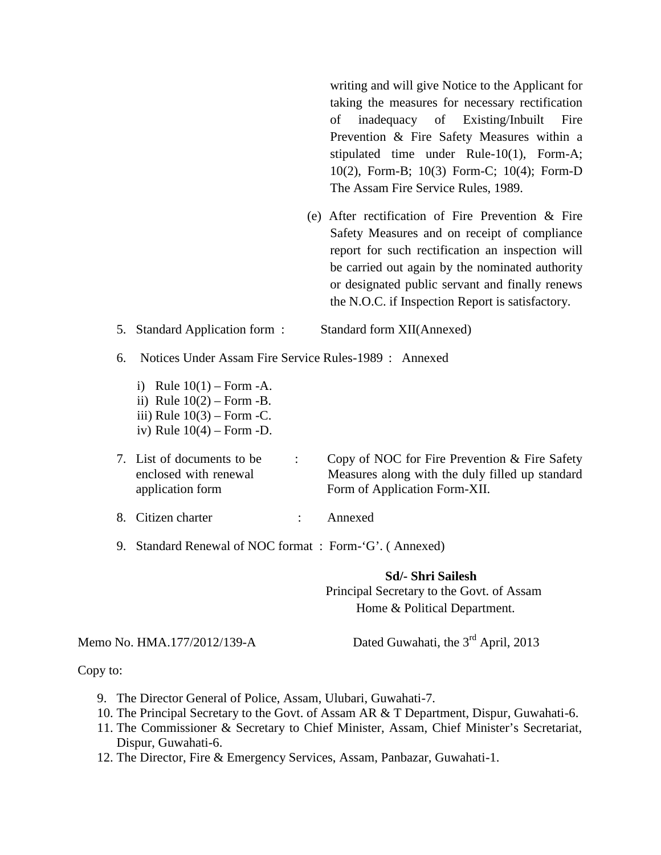writing and will give Notice to the Applicant for taking the measures for necessary rectification of inadequacy of Existing/Inbuilt Fire Prevention & Fire Safety Measures within a stipulated time under Rule-10(1), Form-A; 10(2), Form-B; 10(3) Form-C; 10(4); Form-D The Assam Fire Service Rules, 1989.

(e) After rectification of Fire Prevention & Fire Safety Measures and on receipt of compliance report for such rectification an inspection will be carried out again by the nominated authority or designated public servant and finally renews the N.O.C. if Inspection Report is satisfactory.

5. Standard Application form : Standard form XII(Annexed)

- 6. Notices Under Assam Fire Service Rules-1989 : Annexed
	- i) Rule  $10(1)$  Form -A. ii) Rule  $10(2)$  – Form -B. iii) Rule  $10(3)$  – Form -C.
	- iv) Rule  $10(4)$  Form -D.
- 7. List of documents to be : Copy of NOC for Fire Prevention & Fire Safety enclosed with renewal Measures along with the duly filled up standard application form Form of Application Form-XII.
- 8. Citizen charter : Annexed
- 9. Standard Renewal of NOC format : Form-'G'. ( Annexed)

**Sd/- Shri Sailesh** Principal Secretary to the Govt. of Assam Home & Political Department.

## Memo No. HMA.177/2012/139-A Dated Guwahati, the 3<sup>rd</sup> April, 2013

#### Copy to:

- 9. The Director General of Police, Assam, Ulubari, Guwahati-7.
- 10. The Principal Secretary to the Govt. of Assam AR & T Department, Dispur, Guwahati-6.
- 11. The Commissioner & Secretary to Chief Minister, Assam, Chief Minister's Secretariat, Dispur, Guwahati-6.
- 12. The Director, Fire & Emergency Services, Assam, Panbazar, Guwahati-1.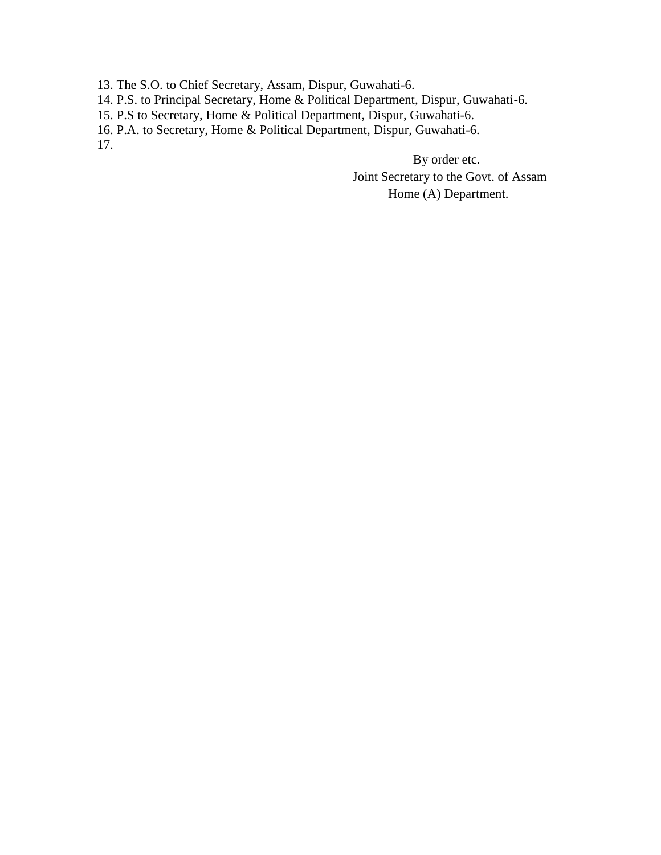13. The S.O. to Chief Secretary, Assam, Dispur, Guwahati-6.

14. P.S. to Principal Secretary, Home & Political Department, Dispur, Guwahati-6.

15. P.S to Secretary, Home & Political Department, Dispur, Guwahati-6.

16. P.A. to Secretary, Home & Political Department, Dispur, Guwahati-6.

17.

By order etc. Joint Secretary to the Govt. of Assam Home (A) Department.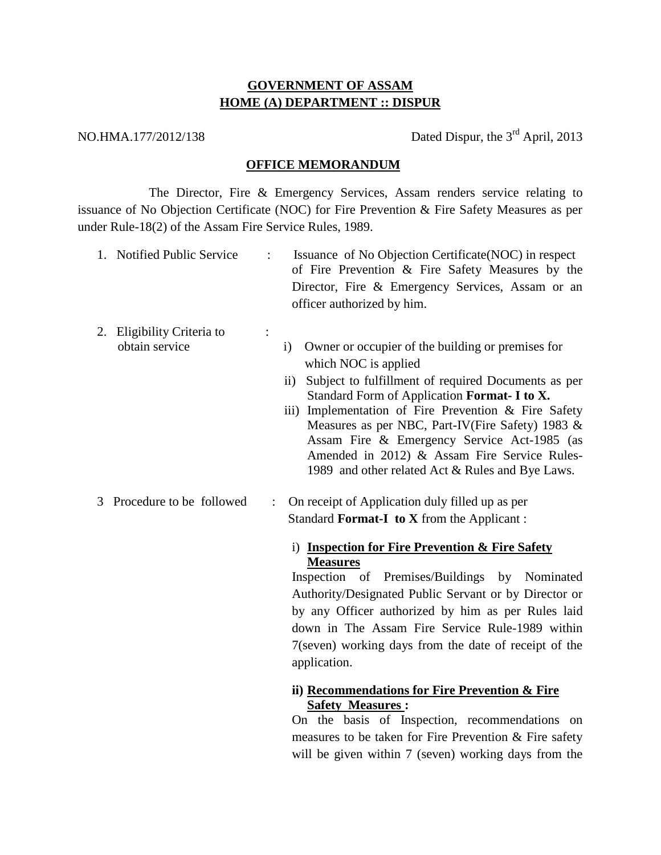## **GOVERNMENT OF ASSAM HOME (A) DEPARTMENT :: DISPUR**

NO.HMA.177/2012/138 Dated Dispur, the 3<sup>rd</sup> April, 2013

### **OFFICE MEMORANDUM**

The Director, Fire & Emergency Services, Assam renders service relating to issuance of No Objection Certificate (NOC) for Fire Prevention & Fire Safety Measures as per under Rule-18(2) of the Assam Fire Service Rules, 1989.

|    | 1. Notified Public Service                | Issuance of No Objection Certificate (NOC) in respect<br>of Fire Prevention & Fire Safety Measures by the<br>Director, Fire & Emergency Services, Assam or an<br>officer authorized by him.                                                                                                                                                                                                                                                                              |
|----|-------------------------------------------|--------------------------------------------------------------------------------------------------------------------------------------------------------------------------------------------------------------------------------------------------------------------------------------------------------------------------------------------------------------------------------------------------------------------------------------------------------------------------|
| 2. | Eligibility Criteria to<br>obtain service | Owner or occupier of the building or premises for<br>$\rm i)$<br>which NOC is applied<br>Subject to fulfillment of required Documents as per<br>$\rm ii)$<br>Standard Form of Application Format- I to X.<br>iii) Implementation of Fire Prevention & Fire Safety<br>Measures as per NBC, Part-IV(Fire Safety) 1983 &<br>Assam Fire & Emergency Service Act-1985 (as<br>Amended in 2012) & Assam Fire Service Rules-<br>1989 and other related Act & Rules and Bye Laws. |
|    | 3 Procedure to be followed                | On receipt of Application duly filled up as per<br>Standard Format-I to X from the Applicant:<br>i) Inspection for Fire Prevention & Fire Safety<br><b>Measures</b><br>Inspection of Premises/Buildings by Nominated<br>Authority/Designated Public Servant or by Director or<br>by any Officer authorized by him as per Rules laid<br>down in The Assam Fire Service Rule-1989 within<br>7(seven) working days from the date of receipt of the<br>application.          |

## **ii) Recommendations for Fire Prevention & Fire Safety Measures :**

On the basis of Inspection, recommendations on measures to be taken for Fire Prevention & Fire safety will be given within 7 (seven) working days from the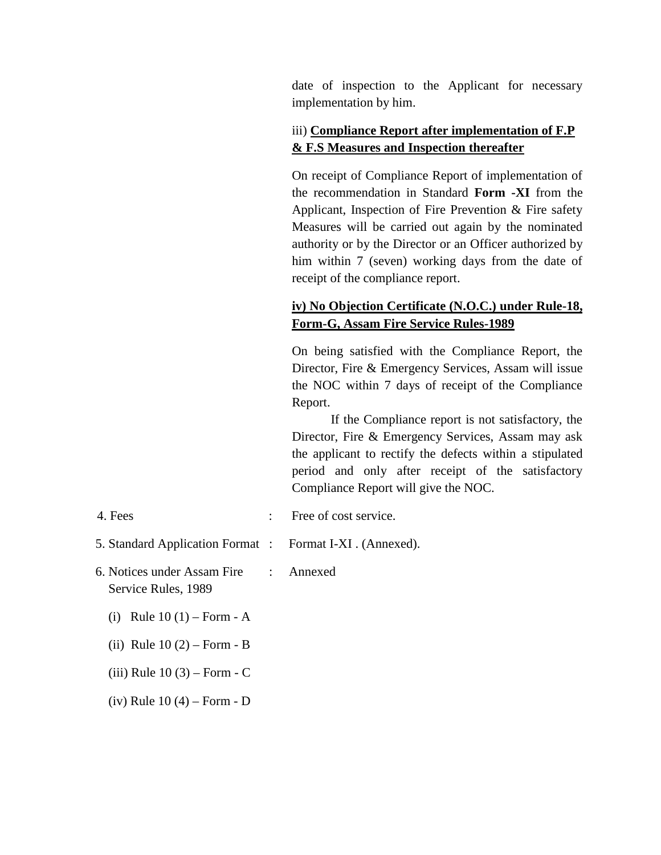date of inspection to the Applicant for necessary implementation by him.

## iii) **Compliance Report after implementation of F.P & F.S Measures and Inspection thereafter**

On receipt of Compliance Report of implementation of the recommendation in Standard **Form -XI** from the Applicant, Inspection of Fire Prevention & Fire safety Measures will be carried out again by the nominated authority or by the Director or an Officer authorized by him within 7 (seven) working days from the date of receipt of the compliance report.

## **iv) No Objection Certificate (N.O.C.) under Rule-18, Form-G, Assam Fire Service Rules-1989**

On being satisfied with the Compliance Report, the Director, Fire & Emergency Services, Assam will issue the NOC within 7 days of receipt of the Compliance Report.

If the Compliance report is not satisfactory, the Director, Fire & Emergency Services, Assam may ask the applicant to rectify the defects within a stipulated period and only after receipt of the satisfactory Compliance Report will give the NOC.

- 4. Fees : Free of cost service.
- 5. Standard Application Format : Format I-XI . (Annexed).
- 6. Notices under Assam Fire : Annexed Service Rules, 1989
	- (i) Rule  $10 (1) Form A$
	- (ii) Rule  $10(2) Form B$
	- (iii) Rule 10 (3) Form C
	- (iv) Rule 10 (4) Form D